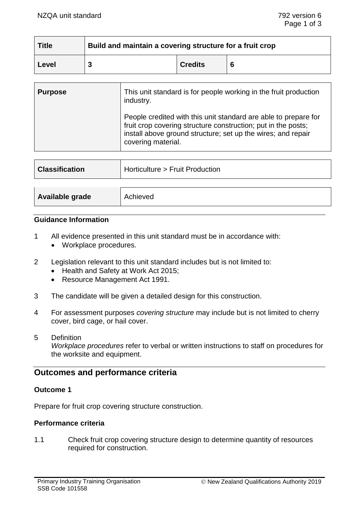| <b>Title</b> | <b>Build and maintain a covering structure for a fruit crop</b> |                |  |
|--------------|-----------------------------------------------------------------|----------------|--|
| Level        |                                                                 | <b>Credits</b> |  |

| <b>Purpose</b> | This unit standard is for people working in the fruit production<br>industry.                                                                                                                                          |
|----------------|------------------------------------------------------------------------------------------------------------------------------------------------------------------------------------------------------------------------|
|                | People credited with this unit standard are able to prepare for<br>fruit crop covering structure construction; put in the posts;<br>install above ground structure; set up the wires; and repair<br>covering material. |

| <b>Classification</b> | Horticulture > Fruit Production |
|-----------------------|---------------------------------|
|                       |                                 |
| Available grade       | Achieved                        |

#### **Guidance Information**

- 1 All evidence presented in this unit standard must be in accordance with:
	- Workplace procedures.
- 2 Legislation relevant to this unit standard includes but is not limited to:
	- Health and Safety at Work Act 2015;
	- Resource Management Act 1991.
- 3 The candidate will be given a detailed design for this construction.
- 4 For assessment purposes *covering structure* may include but is not limited to cherry cover, bird cage, or hail cover.
- 5 Definition

*Workplace procedures* refer to verbal or written instructions to staff on procedures for the worksite and equipment.

# **Outcomes and performance criteria**

#### **Outcome 1**

Prepare for fruit crop covering structure construction.

#### **Performance criteria**

1.1 Check fruit crop covering structure design to determine quantity of resources required for construction.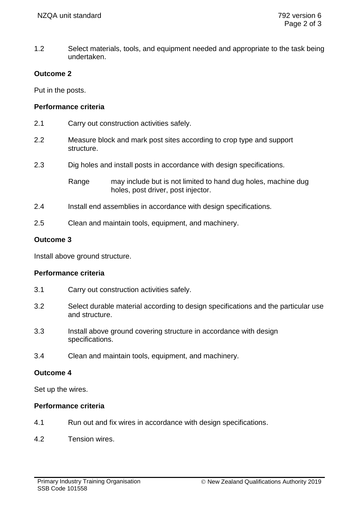1.2 Select materials, tools, and equipment needed and appropriate to the task being undertaken.

# **Outcome 2**

Put in the posts.

# **Performance criteria**

- 2.1 Carry out construction activities safely.
- 2.2 Measure block and mark post sites according to crop type and support structure.
- 2.3 Dig holes and install posts in accordance with design specifications.

Range may include but is not limited to hand dug holes, machine dug holes, post driver, post injector.

- 2.4 Install end assemblies in accordance with design specifications.
- 2.5 Clean and maintain tools, equipment, and machinery.

# **Outcome 3**

Install above ground structure.

## **Performance criteria**

- 3.1 Carry out construction activities safely.
- 3.2 Select durable material according to design specifications and the particular use and structure.
- 3.3 Install above ground covering structure in accordance with design specifications.
- 3.4 Clean and maintain tools, equipment, and machinery.

## **Outcome 4**

Set up the wires.

# **Performance criteria**

- 4.1 Run out and fix wires in accordance with design specifications.
- 4.2 Tension wires.